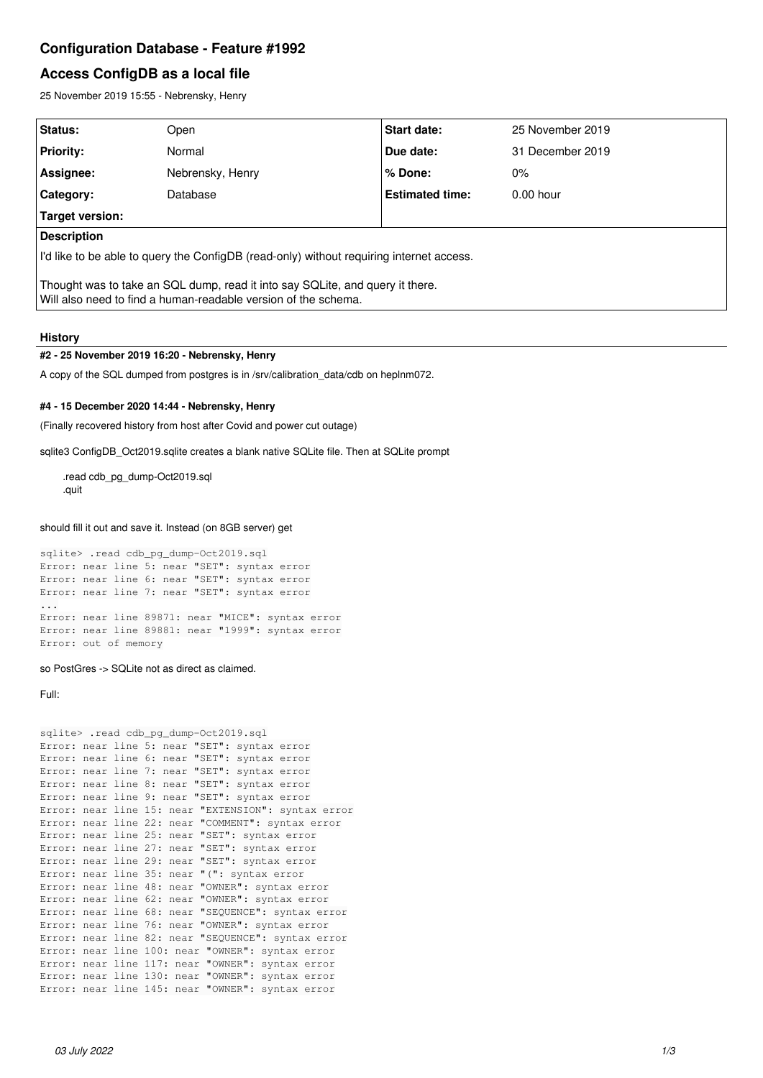# **Configuration Database - Feature #1992**

# **Access ConfigDB as a local file**

25 November 2019 15:55 - Nebrensky, Henry

| Status:                                                                                                                                         | Open             | <b>Start date:</b>     | 25 November 2019 |
|-------------------------------------------------------------------------------------------------------------------------------------------------|------------------|------------------------|------------------|
| <b>Priority:</b>                                                                                                                                | Normal           | Due date:              | 31 December 2019 |
| <b>Assignee:</b>                                                                                                                                | Nebrensky, Henry | % Done:                | $0\%$            |
| <b>Category:</b>                                                                                                                                | Database         | <b>Estimated time:</b> | $0.00$ hour      |
| Target version:                                                                                                                                 |                  |                        |                  |
| <b>Description</b>                                                                                                                              |                  |                        |                  |
| I'd like to be able to query the ConfigDB (read-only) without requiring internet access.                                                        |                  |                        |                  |
| Thought was to take an SQL dump, read it into say SQLite, and query it there.<br>Will also need to find a human-readable version of the schema. |                  |                        |                  |

# **History**

## **#2 - 25 November 2019 16:20 - Nebrensky, Henry**

A copy of the SQL dumped from postgres is in /srv/calibration\_data/cdb on heplnm072.

### **#4 - 15 December 2020 14:44 - Nebrensky, Henry**

(Finally recovered history from host after Covid and power cut outage)

sqlite3 ConfigDB\_Oct2019.sqlite creates a blank native SQLite file. Then at SQLite prompt

.read cdb\_pg\_dump-Oct2019.sql .quit

### should fill it out and save it. Instead (on 8GB server) get

sqlite> .read cdb\_pg\_dump-Oct2019.sql Error: near line 5: near "SET": syntax error Error: near line 6: near "SET": syntax error Error: near line 7: near "SET": syntax error ... Error: near line 89871: near "MICE": syntax error Error: near line 89881: near "1999": syntax error Error: out of memory

### so PostGres -> SQLite not as direct as claimed.

Full:

```
sqlite> .read cdb_pg_dump-Oct2019.sql
Error: near line 5: near "SET": syntax error
Error: near line 6: near "SET": syntax error
Error: near line 7: near "SET": syntax error
Error: near line 8: near "SET": syntax error
Error: near line 9: near "SET": syntax error
Error: near line 15: near "EXTENSION": syntax error
Error: near line 22: near "COMMENT": syntax error
Error: near line 25: near "SET": syntax error
Error: near line 27: near "SET": syntax error
Error: near line 29: near "SET": syntax error
Error: near line 35: near "(": syntax error
Error: near line 48: near "OWNER": syntax error
Error: near line 62: near "OWNER": syntax error
Error: near line 68: near "SEQUENCE": syntax error
Error: near line 76: near "OWNER": syntax error
Error: near line 82: near "SEQUENCE": syntax error
Error: near line 100: near "OWNER": syntax error
Error: near line 117: near "OWNER": syntax error
Error: near line 130: near "OWNER": syntax error
Error: near line 145: near "OWNER": syntax error
```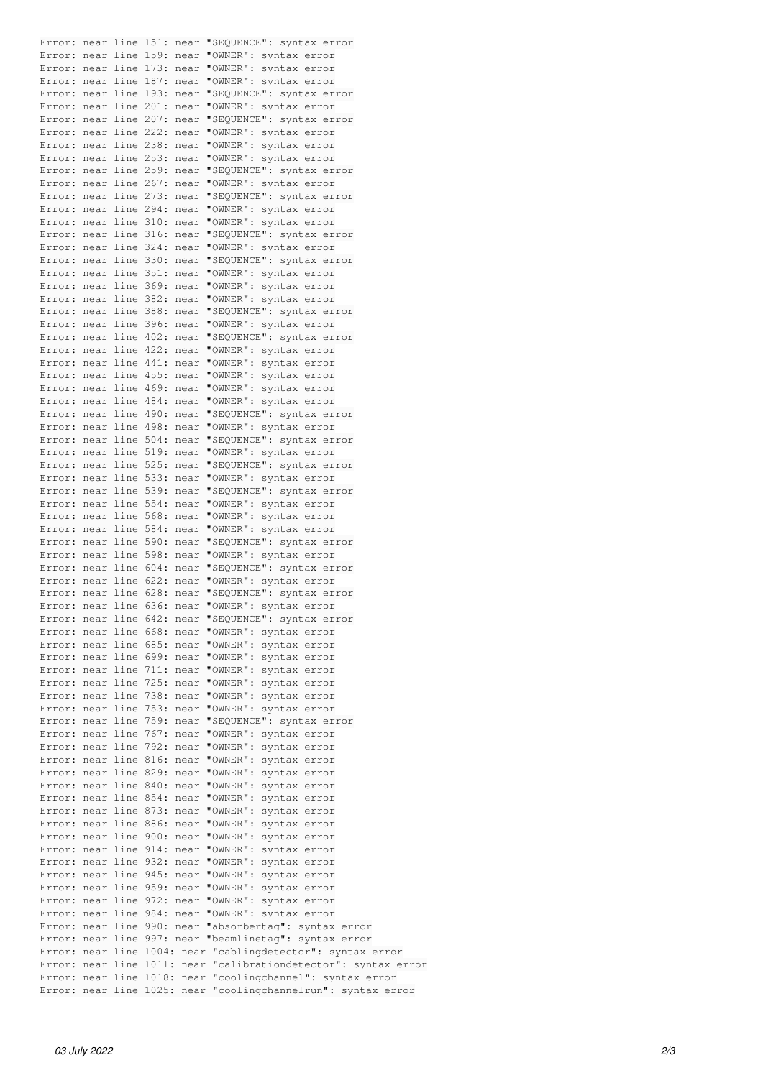Error: near line 151: near "SEQUENCE": syntax error Error: near line 159: near "OWNER": syntax error Error: near line 173: near "OWNER": syntax error Error: near line 187: near "OWNER": syntax error Error: near line 193: near "SEQUENCE": syntax error Error: near line 201: near "OWNER": syntax error Error: near line 207: near "SEQUENCE": syntax error Error: near line 222: near "OWNER": syntax error Error: near line 238: near "OWNER": syntax error Error: near line 253: near "OWNER": syntax error Error: near line 259: near "SEQUENCE": syntax error Error: near line 267: near "OWNER": syntax error Error: near line 273: near "SEQUENCE": syntax error Error: near line 294: near "OWNER": syntax error Error: near line 310: near "OWNER": syntax error Error: near line 316: near "SEQUENCE": syntax error Error: near line 324: near "OWNER": syntax error Error: near line 330: near "SEQUENCE": syntax error Error: near line 351: near "OWNER": syntax error Error: near line 369: near "OWNER": syntax error Error: near line 382: near "OWNER": syntax error Error: near line 388: near "SEQUENCE": syntax error Error: near line 396: near "OWNER": syntax error Error: near line 402: near "SEQUENCE": syntax error Error: near line 422: near "OWNER": syntax error Error: near line 441: near "OWNER": syntax error Error: near line 455: near "OWNER": syntax error Error: near line 469: near "OWNER": syntax error Error: near line 484: near "OWNER": syntax error Error: near line 490: near "SEQUENCE": syntax error Error: near line 498: near "OWNER": syntax error Error: near line 504: near "SEQUENCE": syntax error Error: near line 519: near "OWNER": syntax error Error: near line 525: near "SEQUENCE": syntax error Error: near line 533: near "OWNER": syntax error Error: near line 539: near "SEQUENCE": syntax error Error: near line 554: near "OWNER": syntax error Error: near line 568: near "OWNER": syntax error Error: near line 584: near "OWNER": syntax error Error: near line 590: near "SEQUENCE": syntax error Error: near line 598: near "OWNER": syntax error Error: near line 604: near "SEQUENCE": syntax error Error: near line 622: near "OWNER": syntax error Error: near line 628: near "SEQUENCE": syntax error Error: near line 636: near "OWNER": syntax error Error: near line 642: near "SEQUENCE": syntax error Error: near line 668: near "OWNER": syntax error Error: near line 685: near "OWNER": syntax error Error: near line 699: near "OWNER": syntax error Error: near line 711: near "OWNER": syntax error Error: near line 725: near "OWNER": syntax error Error: near line 738: near "OWNER": syntax error Error: near line 753: near "OWNER": syntax error Error: near line 759: near "SEQUENCE": syntax error Error: near line 767: near "OWNER": syntax error Error: near line 792: near "OWNER": syntax error Error: near line 816: near "OWNER": syntax error Error: near line 829: near "OWNER": syntax error Error: near line 840: near "OWNER": syntax error Error: near line 854: near "OWNER": syntax error Error: near line 873: near "OWNER": syntax error Error: near line 886: near "OWNER": syntax error Error: near line 900: near "OWNER": syntax error Error: near line 914: near "OWNER": syntax error Error: near line 932: near "OWNER": syntax error Error: near line 945: near "OWNER": syntax error Error: near line 959: near "OWNER": syntax error Error: near line 972: near "OWNER": syntax error Error: near line 984: near "OWNER": syntax error Error: near line 990: near "absorbertag": syntax error Error: near line 997: near "beamlinetag": syntax error Error: near line 1004: near "cablingdetector": syntax error Error: near line 1011: near "calibrationdetector": syntax error Error: near line 1018: near "coolingchannel": syntax error Error: near line 1025: near "coolingchannelrun": syntax error